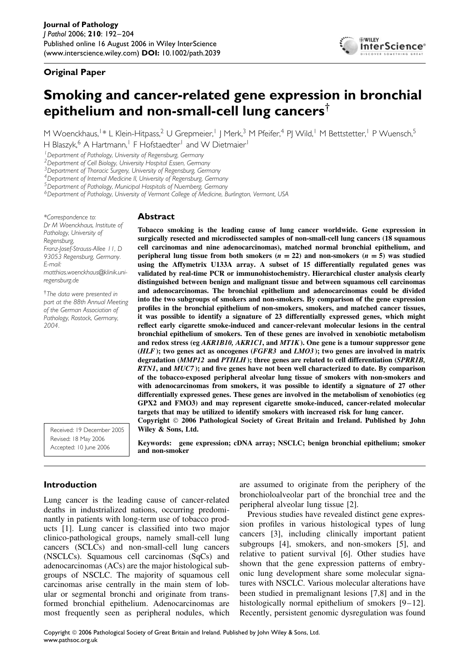# **Original Paper**



# **Smoking and cancer-related gene expression in bronchial epithelium and non-small-cell lung cancers**†

M Woenckhaus,<sup>1\*</sup> L Klein-Hitpass,<sup>2</sup> U Grepmeier,<sup>1</sup> | Merk,<sup>3</sup> M Pfeifer,<sup>4</sup> PJ Wild,<sup>1</sup> M Bettstetter,<sup>1</sup> P Wuensch,<sup>5</sup> H Blaszyk,<sup>6</sup> A Hartmann,<sup>1</sup> F Hofstaedter<sup>1</sup> and W Dietmaier<sup>1</sup>

*1Department of Pathology, University of Regensburg, Germany*

*2Department of Cell Biology, University Hospital Essen, Germany*

*3Department of Thoracic Surgery, University of Regensburg, Germany*

*4Department of Internal Medicine II, University of Regensburg, Germany*

*5Department of Pathology, Municipal Hospitals of Nuernberg, Germany*

*6Department of Pathology, University of Vermont College of Medicine, Burlington, Vermont, USA*

*\*Correspondence to: Dr M Woenckhaus, Institute of Pathology, University of Regensburg, Franz-Josef-Strauss-Allee 11, D 93053 Regensburg, Germany. E-mail: matthias.woenckhaus@klinik.uniregensburg.de*

†*The data were presented in part at the 88th Annual Meeting of the German Association of Pathology, Rostock, Germany, 2004.*

### **Abstract**

**Tobacco smoking is the leading cause of lung cancer worldwide. Gene expression in surgically resected and microdissected samples of non-small-cell lung cancers (18 squamous cell carcinomas and nine adenocarcinomas), matched normal bronchial epithelium, and peripheral lung tissue from both smokers (** $n = 22$ **) and non-smokers (** $n = 5$ **) was studied using the Affymetrix U133A array. A subset of 15 differentially regulated genes was validated by real-time PCR or immunohistochemistry. Hierarchical cluster analysis clearly distinguished between benign and malignant tissue and between squamous cell carcinomas and adenocarcinomas. The bronchial epithelium and adenocarcinomas could be divided into the two subgroups of smokers and non-smokers. By comparison of the gene expression profiles in the bronchial epithelium of non-smokers, smokers, and matched cancer tissues, it was possible to identify a signature of 23 differentially expressed genes, which might reflect early cigarette smoke-induced and cancer-relevant molecular lesions in the central bronchial epithelium of smokers. Ten of these genes are involved in xenobiotic metabolism and redox stress (eg** *AKR1B10, AKR1C1***, and** *MT1K***). One gene is a tumour suppressor gene (***HLF***); two genes act as oncogenes (***FGFR3* **and** *LMO3* **); two genes are involved in matrix degradation (***MMP12* **and** *PTHLH* **); three genes are related to cell differentiation (***SPRR1B, RTN1***, and** *MUC7* **); and five genes have not been well characterized to date. By comparison of the tobacco-exposed peripheral alveolar lung tissue of smokers with non-smokers and with adenocarcinomas from smokers, it was possible to identify a signature of 27 other differentially expressed genes. These genes are involved in the metabolism of xenobiotics (eg GPX2 and FMO3) and may represent cigarette smoke-induced, cancer-related molecular targets that may be utilized to identify smokers with increased risk for lung cancer. Copyright 2006 Pathological Society of Great Britain and Ireland. Published by John Wiley & Sons, Ltd.**

**Keywords: gene expression; cDNA array; NSCLC; benign bronchial epithelium; smoker**

Received: 19 December 2005 Revised: 18 May 2006 Accepted: 10 June 2006

**Introduction**

Lung cancer is the leading cause of cancer-related deaths in industrialized nations, occurring predominantly in patients with long-term use of tobacco products [1]. Lung cancer is classified into two major clinico-pathological groups, namely small-cell lung cancers (SCLCs) and non-small-cell lung cancers (NSCLCs). Squamous cell carcinomas (SqCs) and adenocarcinomas (ACs) are the major histological subgroups of NSCLC. The majority of squamous cell carcinomas arise centrally in the main stem of lobular or segmental bronchi and originate from transformed bronchial epithelium. Adenocarcinomas are most frequently seen as peripheral nodules, which

**and non-smoker**

are assumed to originate from the periphery of the bronchioloalveolar part of the bronchial tree and the peripheral alveolar lung tissue [2].

Previous studies have revealed distinct gene expression profiles in various histological types of lung cancers [3], including clinically important patient subgroups [4], smokers, and non-smokers [5], and relative to patient survival [6]. Other studies have shown that the gene expression patterns of embryonic lung development share some molecular signatures with NSCLC. Various molecular alterations have been studied in premalignant lesions [7,8] and in the histologically normal epithelium of smokers [9–12]. Recently, persistent genomic dysregulation was found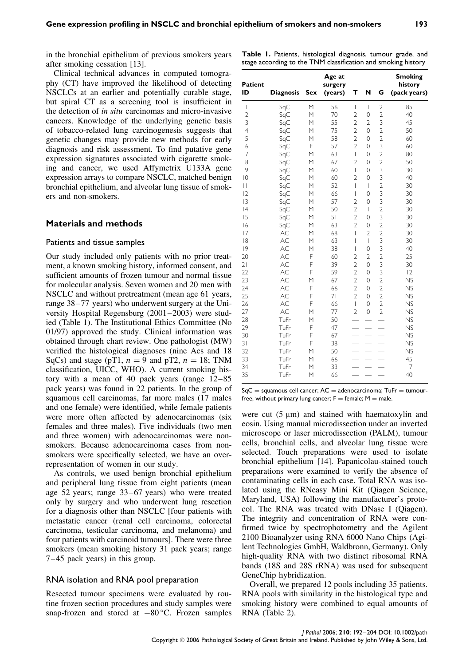in the bronchial epithelium of previous smokers years after smoking cessation [13].

Clinical technical advances in computed tomography (CT) have improved the likelihood of detecting NSCLCs at an earlier and potentially curable stage, but spiral CT as a screening tool is insufficient in the detection of *in situ* carcinomas and micro-invasive cancers. Knowledge of the underlying genetic basis of tobacco-related lung carcinogenesis suggests that genetic changes may provide new methods for early diagnosis and risk assessment. To find putative gene expression signatures associated with cigarette smoking and cancer, we used Affymetrix U133A gene expression arrays to compare NSCLC, matched benign bronchial epithelium, and alveolar lung tissue of smokers and non-smokers.

#### **Materials and methods**

#### Patients and tissue samples

Our study included only patients with no prior treatment, a known smoking history, informed consent, and sufficient amounts of frozen tumour and normal tissue for molecular analysis. Seven women and 20 men with NSCLC and without pretreatment (mean age 61 years, range 38–77 years) who underwent surgery at the University Hospital Regensburg (2001–2003) were studied (Table 1). The Institutional Ethics Committee (No 01/97) approved the study. Clinical information was obtained through chart review. One pathologist (MW) verified the histological diagnoses (nine Acs and 18 SqCs) and stage (pT1,  $n = 9$  and pT2,  $n = 18$ ; TNM classification, UICC, WHO). A current smoking history with a mean of 40 pack years (range 12–85 pack years) was found in 22 patients. In the group of squamous cell carcinomas, far more males (17 males and one female) were identified, while female patients were more often affected by adenocarcinomas (six females and three males). Five individuals (two men and three women) with adenocarcinomas were nonsmokers. Because adenocarcinoma cases from nonsmokers were specifically selected, we have an overrepresentation of women in our study.

As controls, we used benign bronchial epithelium and peripheral lung tissue from eight patients (mean age 52 years; range 33–67 years) who were treated only by surgery and who underwent lung resection for a diagnosis other than NSCLC [four patients with metastatic cancer (renal cell carcinoma, colorectal carcinoma, testicular carcinoma, and melanoma) and four patients with carcinoid tumours]. There were three smokers (mean smoking history 31 pack years; range 7–45 pack years) in this group.

#### RNA isolation and RNA pool preparation

Resected tumour specimens were evaluated by routine frozen section procedures and study samples were snap-frozen and stored at −80 °C. Frozen samples

| Patient<br>ID   | <b>Diagnosis</b> | <b>Sex</b> | Age at<br>surgery<br>(years) | т              | N                        | G              | <b>Smoking</b><br>history<br>(pack years) |
|-----------------|------------------|------------|------------------------------|----------------|--------------------------|----------------|-------------------------------------------|
| $\overline{1}$  | SqC              | M          | 56                           | I              | $\overline{1}$           | $\overline{2}$ | 85                                        |
| $\overline{2}$  | SqC              | М          | 70                           | $\overline{2}$ | 0                        | $\overline{2}$ | 40                                        |
| 3               | SqC              | M          | 55                           | $\overline{2}$ | $\overline{2}$           | 3              | 45                                        |
| $\overline{4}$  | SqC              | М          | 75                           | $\overline{2}$ | 0                        | $\overline{2}$ | 50                                        |
| 5               | SqC              | M          | 58                           | $\overline{2}$ | $\overline{O}$           | $\overline{2}$ | 60                                        |
| 6               | SqC              | F          | 57                           | $\overline{2}$ | 0                        | 3              | 60                                        |
| 7               | SqC              | M          | 63                           | $\overline{1}$ | $\overline{O}$           | $\overline{2}$ | 80                                        |
| 8               | SqC              | M          | 67                           | $\overline{2}$ | 0                        | $\overline{2}$ | 50                                        |
| 9               | SqC              | M          | 60                           | I              | 0                        | 3              | 30                                        |
| $\overline{0}$  | SqC              | M          | 60                           | $\overline{2}$ | 0                        | 3              | 40                                        |
| П               | SqC              | M          | 52                           | I              | $\overline{\phantom{a}}$ | $\overline{2}$ | 30                                        |
| 2               | SqC              | M          | 66                           | I              | $\circ$                  | 3              | 30                                        |
| 3               | SqC              | M          | 57                           | $\overline{2}$ | $\overline{O}$           | 3              | 30                                        |
| 4               | SqC              | M          | 50                           | $\overline{2}$ | $\overline{\phantom{a}}$ | $\overline{2}$ | 30                                        |
| 15              | SqC              | M          | 51                           | $\overline{2}$ | $\overline{O}$           | 3              | 30                                        |
| 16              | SqC              | M          | 63                           | $\overline{2}$ | $\circ$                  | $\overline{2}$ | 30                                        |
| 17              | AC               | M          | 68                           | I              | $\overline{2}$           | $\overline{2}$ | 30                                        |
| 18              | AC               | M          | 63                           | I              | $\overline{1}$           | 3              | 30                                        |
| 9               | AC               | M          | 38                           | I              | 0                        | 3              | 40                                        |
| 20              | AC               | F          | 60                           | $\overline{2}$ | $\overline{2}$           | $\overline{c}$ | 25                                        |
| $\frac{2}{ }$   | AC               | F          | 39                           | $\overline{2}$ | 0                        | 3              | 30                                        |
| $\overline{22}$ | <b>AC</b>        | F          | 59                           | $\overline{2}$ | 0                        | 3              | 2                                         |
| 23              | AC               | M          | 67                           | $\overline{2}$ | 0                        | $\overline{2}$ | <b>NS</b>                                 |
| 24              | AC               | F          | 66                           | $\overline{2}$ | 0                        | $\overline{2}$ | <b>NS</b>                                 |
| 25              | AC               | F          | 71                           | $\overline{2}$ | 0                        | $\overline{2}$ | <b>NS</b>                                 |
| 26              | AC               | Ē          | 66                           | $\overline{1}$ | $\overline{O}$           | $\overline{2}$ | <b>NS</b>                                 |
| 27              | AC               | M          | 77                           | $\overline{2}$ | $\circ$                  | $\overline{2}$ | <b>NS</b>                                 |
| 28              | TuFr             | M          | 50                           |                |                          |                | <b>NS</b>                                 |
| 29              | TuFr             | F          | 47                           |                |                          |                | <b>NS</b>                                 |
| 30              | TuFr             | F          | 67                           |                |                          |                | <b>NS</b>                                 |
| 31              | TuFr             | F          | 38                           |                |                          |                | N <sub>S</sub>                            |
| 32              | TuFr             | M          | 50                           |                |                          |                | NS                                        |
| 33              | TuFr             | M          | 66                           |                |                          |                | 45                                        |
| 34              | TuFr             | M          | 33                           |                |                          |                | 7                                         |
| 35              | TuFr             | M          | 66                           |                |                          |                | 40                                        |

 $SqC =$  squamous cell cancer;  $AC =$  adenocarcinoma;  $TuFr =$  tumourfree, without primary lung cancer;  $F =$  female;  $M =$  male.

were cut  $(5 \mu m)$  and stained with haematoxylin and eosin. Using manual microdissection under an inverted microscope or laser microdissection (PALM), tumour cells, bronchial cells, and alveolar lung tissue were selected. Touch preparations were used to isolate bronchial epithelium [14]. Papanicolau-stained touch preparations were examined to verify the absence of contaminating cells in each case. Total RNA was isolated using the RNeasy Mini Kit (Qiagen Science, Maryland, USA) following the manufacturer's protocol. The RNA was treated with DNase I (Qiagen). The integrity and concentration of RNA were confirmed twice by spectrophotometry and the Agilent 2100 Bioanalyzer using RNA 6000 Nano Chips (Agilent Technologies GmbH, Waldbronn, Germany). Only high-quality RNA with two distinct ribosomal RNA bands (18S and 28S rRNA) was used for subsequent GeneChip hybridization.

Overall, we prepared 12 pools including 35 patients. RNA pools with similarity in the histological type and smoking history were combined to equal amounts of RNA (Table 2).

# **Table 1.** Patients, histological diagnosis, tumour grade, and stage according to the TNM classification and smoking history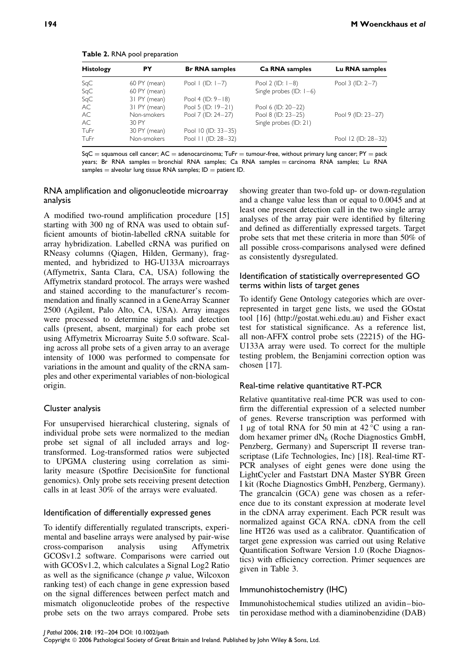**Table 2.** RNA pool preparation

 $SqC =$  squamous cell cancer; AC = adenocarcinoma; TuFr = tumour-free, without primary lung cancer; PY = pack years; Br RNA samples = bronchial RNA samples; Ca RNA samples = carcinoma RNA samples; Lu RNA samples  $=$  alveolar lung tissue RNA samples; ID  $=$  patient ID.

# RNA amplification and oligonucleotide microarray analysis

A modified two-round amplification procedure [15] starting with 300 ng of RNA was used to obtain sufficient amounts of biotin-labelled cRNA suitable for array hybridization. Labelled cRNA was purified on RNeasy columns (Qiagen, Hilden, Germany), fragmented, and hybridized to HG-U133A microarrays (Affymetrix, Santa Clara, CA, USA) following the Affymetrix standard protocol. The arrays were washed and stained according to the manufacturer's recommendation and finally scanned in a GeneArray Scanner 2500 (Agilent, Palo Alto, CA, USA). Array images were processed to determine signals and detection calls (present, absent, marginal) for each probe set using Affymetrix Microarray Suite 5.0 software. Scaling across all probe sets of a given array to an average intensity of 1000 was performed to compensate for variations in the amount and quality of the cRNA samples and other experimental variables of non-biological origin.

# Cluster analysis

For unsupervised hierarchical clustering, signals of individual probe sets were normalized to the median probe set signal of all included arrays and logtransformed. Log-transformed ratios were subjected to UPGMA clustering using correlation as similarity measure (Spotfire DecisionSite for functional genomics). Only probe sets receiving present detection calls in at least 30% of the arrays were evaluated.

# Identification of differentially expressed genes

To identify differentially regulated transcripts, experimental and baseline arrays were analysed by pair-wise cross-comparison analysis using Affymetrix GCOSv1.2 software. Comparisons were carried out with GCOSv1.2, which calculates a Signal Log2 Ratio as well as the significance (change *p* value, Wilcoxon ranking test) of each change in gene expression based on the signal differences between perfect match and mismatch oligonucleotide probes of the respective probe sets on the two arrays compared. Probe sets showing greater than two-fold up- or down-regulation and a change value less than or equal to 0.0045 and at least one present detection call in the two single array analyses of the array pair were identified by filtering and defined as differentially expressed targets. Target probe sets that met these criteria in more than 50% of all possible cross-comparisons analysed were defined as consistently dysregulated.

# Identification of statistically overrepresented GO terms within lists of target genes

To identify Gene Ontology categories which are overrepresented in target gene lists, we used the GOstat tool [16] (http://gostat.wehi.edu.au) and Fisher exact test for statistical significance. As a reference list, all non-AFFX control probe sets (22215) of the HG-U133A array were used. To correct for the multiple testing problem, the Benjamini correction option was chosen [17].

# Real-time relative quantitative RT-PCR

Relative quantitative real-time PCR was used to confirm the differential expression of a selected number of genes. Reverse transcription was performed with 1 µg of total RNA for 50 min at  $42^{\circ}$ C using a random hexamer primer  $dN_6$  (Roche Diagnostics GmbH, Penzberg, Germany) and Superscript II reverse transcriptase (Life Technologies, Inc) [18]. Real-time RT-PCR analyses of eight genes were done using the LightCycler and Faststart DNA Master SYBR Green I kit (Roche Diagnostics GmbH, Penzberg, Germany). The grancalcin (GCA) gene was chosen as a reference due to its constant expression at moderate level in the cDNA array experiment. Each PCR result was normalized against GCA RNA. cDNA from the cell line HT26 was used as a calibrator. Quantification of target gene expression was carried out using Relative Quantification Software Version 1.0 (Roche Diagnostics) with efficiency correction. Primer sequences are given in Table 3.

# Immunohistochemistry (IHC)

Immunohistochemical studies utilized an avidin–biotin peroxidase method with a diaminobenzidine (DAB)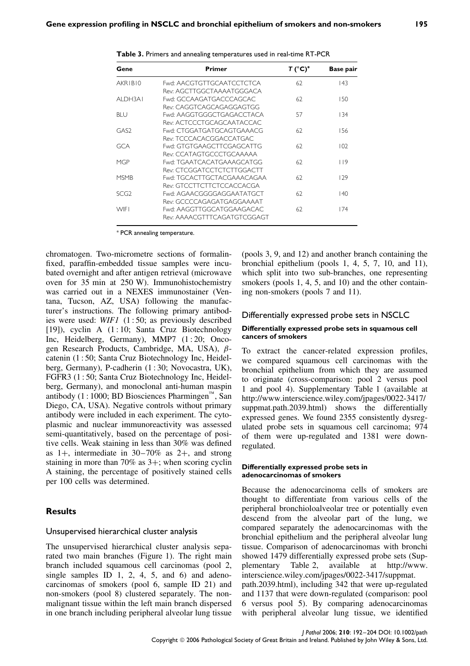| Gene             | Primer                      | T (°C)* | <b>Base pair</b> |
|------------------|-----------------------------|---------|------------------|
| AKRIBI0          | Fwd: AACGTGTTGCAATCCTCTCA   | 62      | 143              |
|                  | Rev: AGCTTGGCTAAAATGGGACA   |         |                  |
| AI DH3A I        | Fwd: GCCAAGATGACCCAGCAC     | 62      | 150              |
|                  | Rev: CAGGTCAGCAGAGGAGTGG    |         |                  |
| BI U             | Fwd: AAGGTGGGCTGAGACCTACA   | 57      | 134              |
|                  | Rev: ACTCCCTGCAGCAATACCAC   |         |                  |
| GAS <sub>2</sub> | Fwd: CTGGATGATGCAGTGAAACG   | 62      | 156              |
|                  | Rev: TCCCACACGGACCATGAC     |         |                  |
| GCA              | Fwd: GTGTGAAGCTTCGAGCATTG   | 62      | 102              |
|                  | Rev: CCATAGTGCCCTGCAAAAA    |         |                  |
| MGP              | Fwd: TGAATCACATGAAAGCATGG   | 62      | 119              |
|                  | Rev: CTCGGATCCTCTCTTGGACTT  |         |                  |
| <b>MSMB</b>      | Fwd: TGCACTTGCTACGAAACAGAA  | 62      | 129              |
|                  | Rev: GTCCTTCTTCTCCACCACGA   |         |                  |
| SCG2             | Fwd: AGAACGGGGAGGAATATGCT   | 62      | 140              |
|                  | Rev: GCCCCAGAGATGAGGAAAAT   |         |                  |
| <b>WIFI</b>      | Fwd: AAGGTTGGCATGGAAGACAC   | 62      | 174              |
|                  | Rev: AAAACGTTTCAGATGTCGGAGT |         |                  |

**Table 3.** Primers and annealing temperatures used in real-time RT-PCR

∗ PCR annealing temperature.

chromatogen. Two-micrometre sections of formalinfixed, paraffin-embedded tissue samples were incubated overnight and after antigen retrieval (microwave oven for 35 min at 250 W). Immunohistochemistry was carried out in a NEXES immunostainer (Ventana, Tucson, AZ, USA) following the manufacturer's instructions. The following primary antibodies were used: *WIF1* (1 : 50; as previously described [19]), cyclin A  $(1:10;$  Santa Cruz Biotechnology Inc, Heidelberg, Germany), MMP7  $(1:20;$  Oncogen Research Products, Cambridge, MA, USA), *β*catenin (1 : 50; Santa Cruz Biotechnology Inc, Heidelberg, Germany), P-cadherin (1 : 30; Novocastra, UK), FGFR3 (1 : 50; Santa Cruz Biotechnology Inc, Heidelberg, Germany), and monoclonal anti-human maspin antibody (1 : 1000; BD Biosciences Pharmingen<sup> $\mathfrak{m}$ </sup>, San Diego, CA, USA). Negative controls without primary antibody were included in each experiment. The cytoplasmic and nuclear immunoreactivity was assessed semi-quantitatively, based on the percentage of positive cells. Weak staining in less than 30% was defined as  $1+$ , intermediate in  $30-70\%$  as  $2+$ , and strong staining in more than 70% as 3+; when scoring cyclin A staining, the percentage of positively stained cells per 100 cells was determined.

### **Results**

#### Unsupervised hierarchical cluster analysis

The unsupervised hierarchical cluster analysis separated two main branches (Figure 1). The right main branch included squamous cell carcinomas (pool 2, single samples ID 1, 2, 4, 5, and 6) and adenocarcinomas of smokers (pool 6, sample ID 21) and non-smokers (pool 8) clustered separately. The nonmalignant tissue within the left main branch dispersed in one branch including peripheral alveolar lung tissue

(pools 3, 9, and 12) and another branch containing the bronchial epithelium (pools 1, 4, 5, 7, 10, and 11), which split into two sub-branches, one representing smokers (pools 1, 4, 5, and 10) and the other containing non-smokers (pools 7 and 11).

#### Differentially expressed probe sets in NSCLC

#### **Differentially expressed probe sets in squamous cell cancers of smokers**

To extract the cancer-related expression profiles, we compared squamous cell carcinomas with the bronchial epithelium from which they are assumed to originate (cross-comparison: pool 2 versus pool 1 and pool 4). Supplementary Table 1 (available at http://www.interscience.wiley.com/jpages/0022-3417/ suppmat.path.2039.html) shows the differentially expressed genes. We found 2355 consistently dysregulated probe sets in squamous cell carcinoma; 974 of them were up-regulated and 1381 were downregulated.

#### **Differentially expressed probe sets in adenocarcinomas of smokers**

Because the adenocarcinoma cells of smokers are thought to differentiate from various cells of the peripheral bronchioloalveolar tree or potentially even descend from the alveolar part of the lung, we compared separately the adenocarcinomas with the bronchial epithelium and the peripheral alveolar lung tissue. Comparison of adenocarcinomas with bronchi showed 1479 differentially expressed probe sets (Supplementary Table 2, available at http://www. interscience.wiley.com/jpages/0022-3417/suppmat. path.2039.html), including 342 that were up-regulated and 1137 that were down-regulated (comparison: pool

6 versus pool 5). By comparing adenocarcinomas with peripheral alveolar lung tissue, we identified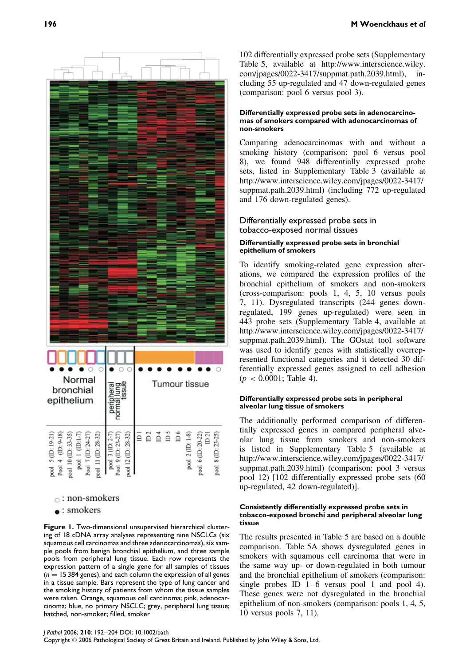

## $\circ$ : non-smokers

 $\bullet$ : smokers

**Figure 1.** Two-dimensional unsupervised hierarchical clustering of 18 cDNA array analyses representing nine NSCLCs (six squamous cell carcinomas and three adenocarcinomas), six sample pools from benign bronchial epithelium, and three sample pools from peripheral lung tissue. Each row represents the expression pattern of a single gene for all samples of tissues  $(n = 15384 \text{ genes})$ , and each column the expression of all genes in a tissue sample. Bars represent the type of lung cancer and the smoking history of patients from whom the tissue samples were taken. Orange, squamous cell carcinoma; pink, adenocarcinoma; blue, no primary NSCLC; grey, peripheral lung tissue; hatched, non-smoker; filled, smoker

102 differentially expressed probe sets (Supplementary Table 5, available at http://www.interscience.wiley. com/jpages/0022-3417/suppmat.path.2039.html), including 55 up-regulated and 47 down-regulated genes (comparison: pool 6 versus pool 3).

#### **Differentially expressed probe sets in adenocarcinomas of smokers compared with adenocarcinomas of non-smokers**

Comparing adenocarcinomas with and without a smoking history (comparison: pool 6 versus pool 8), we found 948 differentially expressed probe sets, listed in Supplementary Table 3 (available at http://www.interscience.wiley.com/jpages/0022-3417/ suppmat.path.2039.html) (including 772 up-regulated and 176 down-regulated genes).

### Differentially expressed probe sets in tobacco-exposed normal tissues

### **Differentially expressed probe sets in bronchial epithelium of smokers**

To identify smoking-related gene expression alterations, we compared the expression profiles of the bronchial epithelium of smokers and non-smokers (cross-comparison: pools 1, 4, 5, 10 versus pools 7, 11). Dysregulated transcripts (244 genes downregulated, 199 genes up-regulated) were seen in 443 probe sets (Supplementary Table 4, available at http://www.interscience.wiley.com/jpages/0022-3417/ suppmat.path.2039.html). The GOstat tool software was used to identify genes with statistically overrepresented functional categories and it detected 30 differentially expressed genes assigned to cell adhesion  $(p < 0.0001$ ; Table 4).

#### **Differentially expressed probe sets in peripheral alveolar lung tissue of smokers**

The additionally performed comparison of differentially expressed genes in compared peripheral alveolar lung tissue from smokers and non-smokers is listed in Supplementary Table 5 (available at http://www.interscience.wiley.com/jpages/0022-3417/ suppmat.path.2039.html) (comparison: pool 3 versus pool 12) [102 differentially expressed probe sets (60 up-regulated, 42 down-regulated)].

#### **Consistently differentially expressed probe sets in tobacco-exposed bronchi and peripheral alveolar lung tissue**

The results presented in Table 5 are based on a double comparison. Table 5A shows dysregulated genes in smokers with squamous cell carcinoma that were in the same way up- or down-regulated in both tumour and the bronchial epithelium of smokers (comparison: single probes ID 1–6 versus pool 1 and pool 4). These genes were not dysregulated in the bronchial epithelium of non-smokers (comparison: pools 1, 4, 5, 10 versus pools 7, 11).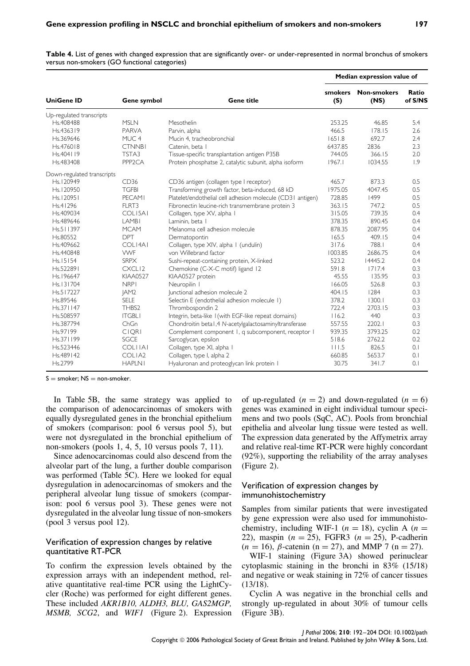**Table 4.** List of genes with changed expression that are significantly over- or under-represented in normal bronchus of smokers versus non-smokers (GO functional categories)

|                            |                     |                                                            | Median expression value of |                            |                  |  |  |
|----------------------------|---------------------|------------------------------------------------------------|----------------------------|----------------------------|------------------|--|--|
| <b>UniGene ID</b>          | Gene symbol         | <b>Gene title</b>                                          | smokers<br>(S)             | <b>Non-smokers</b><br>(NS) | Ratio<br>of S/NS |  |  |
| Up-regulated transcripts   |                     |                                                            |                            |                            |                  |  |  |
| Hs.408488                  | <b>MSLN</b>         | Mesothelin                                                 | 253.25                     | 46.85                      | 5.4              |  |  |
| Hs.436319                  | PARVA               | Parvin, alpha                                              | 466.5                      | 178.15                     | 2.6              |  |  |
| Hs.369646                  | MUC <sub>4</sub>    | Mucin 4, tracheobronchial                                  | 1651.8                     | 692.7                      | 2.4              |  |  |
| Hs.476018                  | <b>CTNNBI</b>       | Catenin, beta I                                            | 6437.85                    | 2836                       | 2.3              |  |  |
| Hs.404119                  | TSTA3               | Tissue-specific transplantation antigen P35B               | 744.05                     | 366.15                     | 2.0              |  |  |
| Hs.483408                  | PPP <sub>2</sub> CA | Protein phosphatse 2, catalytic subunit, alpha isoform     | 1967.1                     | 1034.55                    | 1.9              |  |  |
| Down-regulated transcripts |                     |                                                            |                            |                            |                  |  |  |
| Hs.120949                  | CD36                | CD36 antigen (collagen type I receptor)                    | 465.7                      | 873.3                      | 0.5              |  |  |
| Hs.120950                  | <b>TGFBI</b>        | Transforming growth factor, beta-induced, 68 kD            | 1975.05                    | 4047.45                    | 0.5              |  |  |
| Hs.   2095                 | <b>PFCAMI</b>       | Platelet/endothelial cell adhesion molecule (CD31 antigen) | 728.85                     | 1499                       | 0.5              |  |  |
| Hs.41296                   | FLRT3               | Fibronectin leucine-rich transmembrane protein 3           | 363.15                     | 747.2                      | 0.5              |  |  |
| Hs.409034                  | COLI5AI             | Collagen, type XV, alpha I                                 | 315.05                     | 739.35                     | 0.4              |  |  |
| Hs.489646                  | LAMB <sub>I</sub>   | Laminin, beta                                              | 378.35                     | 890.45                     | 0.4              |  |  |
| Hs.511397                  | <b>MCAM</b>         | Melanoma cell adhesion molecule                            | 878.35                     | 2087.95                    | 0.4              |  |  |
| Hs.80552                   | <b>DPT</b>          | Dermatopontin                                              | 165.5                      | 409.15                     | 0.4              |  |  |
| Hs.409662                  | $COI$ $14AI$        | Collagen, type XIV, alpha I (undulin)                      | 317.6                      | 788.1                      | 0.4              |  |  |
| Hs.440848                  | <b>VWF</b>          | von Willebrand factor                                      | 1003.85                    | 2686.75                    | 0.4              |  |  |
| Hs.15154                   | <b>SRPX</b>         | Sushi-repeat-containing protein, X-linked                  | 523.2                      | 14445.2                    | 0.4              |  |  |
| Hs.522891                  | CXCLI <sub>2</sub>  | Chemokine (C-X-C motif) ligand 12                          | 591.8                      | 1717.4                     | 0.3              |  |  |
| Hs.196647                  | <b>KIAA0527</b>     | KIAA0527 protein                                           | 45.55                      | 135.95                     | 0.3              |  |  |
| Hs.131704                  | <b>NRPI</b>         | Neuropilin I                                               | 166.05                     | 526.8                      | 0.3              |  |  |
| Hs.517227                  | JAM <sub>2</sub>    | Junctional adhesion molecule 2                             | 404.15                     | 1284                       | 0.3              |  |  |
| Hs.89546                   | <b>SELE</b>         | Selectin E (endothelial adhesion molecule 1)               | 378.2                      | 1300.1                     | 0.3              |  |  |
| Hs.371147                  | THBS <sub>2</sub>   | Thrombospondin 2                                           | 722.4                      | 2703.15                    | 0.3              |  |  |
| Hs.508597                  | <b>ITGBLI</b>       | Integrin, beta-like I (with EGF-like repeat domains)       | 116.2                      | 440                        | 0.3              |  |  |
| Hs.387794                  | ChGn                | Chondroitin betal, 4 N-acetylgalactosaminyltransferase     | 557.55                     | 2202.1                     | 0.3              |  |  |
| Hs.97199                   | <b>CIORI</b>        | Complement component 1, q subcomponent, receptor 1         | 939.35                     | 3793.25                    | 0.2              |  |  |
| Hs.371199                  | <b>SGCE</b>         | Sarcoglycan, epsilon                                       | 518.6                      | 2762.2                     | 0.2              |  |  |
| Hs.523446                  | <b>COLITAL</b>      | Collagen, type XI, alpha I                                 | 111.5                      | 826.5                      | 0.1              |  |  |
| Hs.489142                  | COLIA2              | Collagen, type I, alpha 2                                  | 660.85                     | 5653.7                     | 0.1              |  |  |
| Hs.2799                    | <b>HAPLN1</b>       | Hyaluronan and proteoglycan link protein I                 | 30.75                      | 341.7                      | 0.1              |  |  |

 $S =$ smoker:  $NS =$ non-smoker.

In Table 5B, the same strategy was applied to the comparison of adenocarcinomas of smokers with equally dysregulated genes in the bronchial epithelium of smokers (comparison: pool 6 versus pool 5), but were not dysregulated in the bronchial epithelium of non-smokers (pools 1, 4, 5, 10 versus pools 7, 11).

Since adenocarcinomas could also descend from the alveolar part of the lung, a further double comparison was performed (Table 5C). Here we looked for equal dysregulation in adenocarcinomas of smokers and the peripheral alveolar lung tissue of smokers (comparison: pool 6 versus pool 3). These genes were not dysregulated in the alveolar lung tissue of non-smokers (pool 3 versus pool 12).

### Verification of expression changes by relative quantitative RT-PCR

To confirm the expression levels obtained by the expression arrays with an independent method, relative quantitative real-time PCR using the LightCycler (Roche) was performed for eight different genes. These included *AKR1B10, ALDH3, BLU, GAS2MGP, MSMB, SCG2*, and *WIF1* (Figure 2). Expression of up-regulated  $(n = 2)$  and down-regulated  $(n = 6)$ genes was examined in eight individual tumour specimens and two pools (SqC, AC). Pools from bronchial epithelia and alveolar lung tissue were tested as well. The expression data generated by the Affymetrix array and relative real-time RT-PCR were highly concordant (92%), supporting the reliability of the array analyses (Figure 2).

### Verification of expression changes by immunohistochemistry

Samples from similar patients that were investigated by gene expression were also used for immunohistochemistry, including WIF-1 ( $n = 18$ ), cyclin A ( $n =$ 22), maspin (*n* = 25), FGFR3 (*n* = 25), P-cadherin  $(n = 16)$ ,  $\beta$ -catenin (n = 27), and MMP 7 (n = 27).

WIF-1 staining (Figure 3A) showed perinuclear cytoplasmic staining in the bronchi in 83% (15/18) and negative or weak staining in 72% of cancer tissues (13/18).

Cyclin A was negative in the bronchial cells and strongly up-regulated in about 30% of tumour cells (Figure 3B).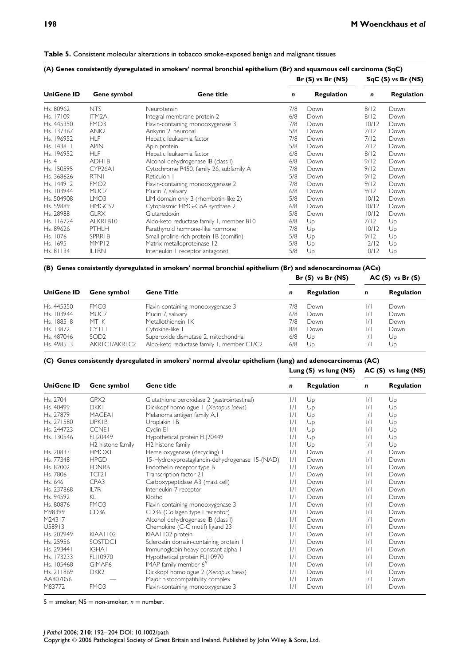| <b>Table 5.</b> Consistent molecular alterations in tobacco smoke-exposed benign and malignant tissues |  |
|--------------------------------------------------------------------------------------------------------|--|
|--------------------------------------------------------------------------------------------------------|--|

|                   |                     | Gene title                               |     | $Br(S)$ vs $Br(NS)$ | $SqC(S)$ vs $Br(NS)$ |                   |
|-------------------|---------------------|------------------------------------------|-----|---------------------|----------------------|-------------------|
| <b>UniGene ID</b> | Gene symbol         |                                          | n   | <b>Regulation</b>   | $\mathbf n$          | <b>Regulation</b> |
| Hs. 80962         | <b>NTS</b>          | Neurotensin                              | 7/8 | Down                | 8/12                 | Down              |
| Hs. 17109         | ITM <sub>2</sub> A  | Integral membrane protein-2              | 6/8 | Down                | 8/12                 | Down              |
| Hs. 445350        | FMO <sub>3</sub>    | Flavin-containing monooxygenase 3        | 7/8 | Down                | 10/12                | Down              |
| Hs. 137367        | ANK <sub>2</sub>    | Ankyrin 2, neuronal                      | 5/8 | Down                | 7/12                 | Down              |
| Hs. 196952        | <b>HLF</b>          | Hepatic leukaemia factor                 | 7/8 | Down                | 7/12                 | Down              |
| Hs. 143811        | <b>APIN</b>         | Apin protein                             | 5/8 | Down                | 7/12                 | Down              |
| Hs. 196952        | <b>HLF</b>          | Hepatic leukaemia factor                 | 6/8 | Down                | 8/12                 | Down              |
| Hs. 4             | <b>ADHIB</b>        | Alcohol dehydrogenase IB (class I)       | 6/8 | Down                | 9/12                 | Down              |
| Hs. 150595        | CYP <sub>26A1</sub> | Cytochrome P450, family 26, subfamily A  | 7/8 | Down                | 9/12                 | Down              |
| Hs. 368626        | <b>RTNI</b>         | Reticulon I                              | 5/8 | Down                | 9/12                 | Down              |
| Hs. 144912        | FMO <sub>2</sub>    | Flavin-containing monooxygenase 2        | 7/8 | Down                | 9/12                 | Down              |
| Hs. 103944        | MUC7                | Mucin 7, salivary                        | 6/8 | Down                | 9/12                 | Down              |
| Hs. 504908        | LMO <sub>3</sub>    | LIM domain only 3 (rhombotin-like 2)     | 5/8 | Down                | 10/12                | Down              |
| Hs. 59889         | HMGCS2              | Cytoplasmic HMG-CoA synthase 2           | 6/8 | Down                | 10/12                | Down              |
| Hs. 28988         | <b>GLRX</b>         | Glutaredoxin                             | 5/8 | Down                | 10/12                | Down              |
| Hs. 116724        | ALKRIBIO            | Aldo-keto reductase family 1, member B10 | 6/8 | Up                  | 7/12                 | Up                |
| Hs. 89626         | <b>PTHLH</b>        | Parathyroid hormone-like hormone         | 7/8 | Up                  | 10/12                | Up                |
| Hs. 1076          | <b>SPRRIB</b>       | Small proline-rich protein IB (comifin)  | 5/8 | Up                  | 9/12                 | Up                |
| Hs. 1695          | MMP <sub>12</sub>   | Matrix metalloproteinase 12              | 5/8 | Up                  | 12/12                | Up                |
| Hs. 81134         | <b>ILIRN</b>        | Interleukin I receptor antagonist        | 5/8 | Up                  | 10/12                | Up                |

**(B) Genes consistently dysregulated in smokers' normal bronchial epithelium (Br) and adenocarcinomas (ACs)**

|                        | Gene symbol      | <b>Gene Title</b>                          |     | $Br(S)$ vs $Br(NS)$ | $AC(S)$ vs $Br(S)$ |                   |
|------------------------|------------------|--------------------------------------------|-----|---------------------|--------------------|-------------------|
| <b>UniGene ID</b>      |                  |                                            | n   | <b>Regulation</b>   | n                  | <b>Regulation</b> |
| Hs. 445350             | FMO3             | Flavin-containing monooxygenase 3          | 7/8 | Down                | $\frac{1}{1}$      | Down              |
| H <sub>s.</sub> 103944 | MUC7             | Mucin 7, salivary                          | 6/8 | Down                | $\frac{1}{1}$      | Down              |
| Hs. 188518             | <b>MTIK</b>      | Metallothionein IK                         | 7/8 | Down                | /                  | Down              |
| Hs. 13872              | CYT11            | Cytokine-like I                            | 8/8 | Down                | $\frac{1}{1}$      | Down              |
| Hs. 487046             | SOD <sub>2</sub> | Superoxide dismutase 2, mitochondrial      | 6/8 | Up                  | /                  | Up                |
| Hs. 498513             | AKRICI/AKRIC2    | Aldo-keto reductase family 1, member C1/C2 | 6/8 | Up                  | $\frac{1}{1}$      | Up                |

### **(C) Genes consistently dysregulated in smokers' normal alveolar epithelium (lung) and adenocarcinomas (AC)**

**Lung (S) vs lung (NS) AC (S) vs lung (NS)**

| <b>UniGene ID</b> | Gene symbol       | <b>Gene title</b>                              | n             | <b>Regulation</b> | n             | <b>Regulation</b> |
|-------------------|-------------------|------------------------------------------------|---------------|-------------------|---------------|-------------------|
| Hs. 2704          | GPX2              | Glutathione peroxidase 2 (gastrointestinal)    | /             | Up                | $\frac{1}{1}$ | Up                |
| Hs. 40499         | <b>DKKI</b>       | Dickkopf homologue   (Xenopus laevis)          | $\frac{1}{1}$ | Up                | /             | Up                |
| Hs. 27879         | <b>MAGEA1</b>     | Melanoma antigen family A, I                   | /             | Up                | $\frac{1}{1}$ | Up                |
| Hs. 271580        | <b>UPKIB</b>      | Uroplakin IB                                   | $\frac{1}{1}$ | Up                | /             | Up                |
| Hs. 244723        | <b>CCNEI</b>      | Cyclin EI                                      | /             | Up                | /             | Up                |
| Hs. 130546        | FL 20449          | Hypothetical protein FL 20449                  | /             | Up                | /             | Up                |
|                   | H2 histone family | H2 histone family                              | /             | Up                | /             | Up                |
| Hs. 20833         | <b>HMOXI</b>      | Heme oxygenase (decycling) I                   | /             | Down              | /             | Down              |
| Hs. 77348         | <b>HPGD</b>       | 15-Hydroxyprostaglandin-dehydrogenase 15-(NAD) | /             | Down              | /             | Down              |
| Hs. 82002         | <b>EDNRB</b>      | Endothelin receptor type B                     | $\frac{1}{1}$ | Down              | /             | Down              |
| Hs. 78061         | TCF <sub>2</sub>  | Transcription factor 21                        | $\frac{1}{1}$ | Down              | /             | Down              |
| Hs. 646           | CPA3              | Carboxypeptidase A3 (mast cell)                | $\frac{1}{1}$ | Down              | /             | Down              |
| Hs. 237868        | IL7R              | Interleukin-7 receptor                         | $\frac{1}{1}$ | Down              | /             | Down              |
| Hs. 94592         | KL                | Klotho                                         | $\frac{1}{1}$ | Down              | /             | Down              |
| Hs. 80876         | FMO <sub>3</sub>  | Flavin-containing monooxygenase 3              | /             | Down              | /             | Down              |
| M98399            | CD36              | CD36 (Collagen type I receptor)                | $\frac{1}{1}$ | Down              | /             | Down              |
| M24317            |                   | Alcohol dehydrogenase IB (class I)             | /             | Down              | /             | Down              |
| U58913            |                   | Chemokine (C-C motif) ligand 23                | $\frac{1}{1}$ | Down              | /             | Down              |
| Hs. 202949        | KIAA1102          | KIAA1102 protein                               | $\frac{1}{1}$ | Down              | /             | Down              |
| Hs. 25956         | SOSTDCI           | Sclerostin domain-containing protein I         | /             | Down              | /             | Down              |
| Hs. 293441        | <b>IGHAI</b>      | Immunoglobin heavy constant alpha I            | $\frac{1}{1}$ | Down              | /             | Down              |
| Hs. 173233        | FL 10970          | Hypothetical protein FLJ10970                  | $\frac{1}{1}$ | Down              | /             | Down              |
| Hs. 105468        | GIMAP6            | IMAP family member 6"                          | /             | Down              | /             | Down              |
| Hs. 211869        | DKK <sub>2</sub>  | Dickkopf homologue 2 (Xenopus laevis)          | $\frac{1}{1}$ | Down              | /             | Down              |
| AA807056          |                   | Major histocompatibility complex               | /             | Down              | $\frac{1}{1}$ | Down              |
| M83772            | FMO <sub>3</sub>  | Flavin-containing monooxygenase 3              | $\frac{1}{1}$ | Down              | /             | Down              |

 $S =$  smoker;  $NS =$  non-smoker;  $n =$  number.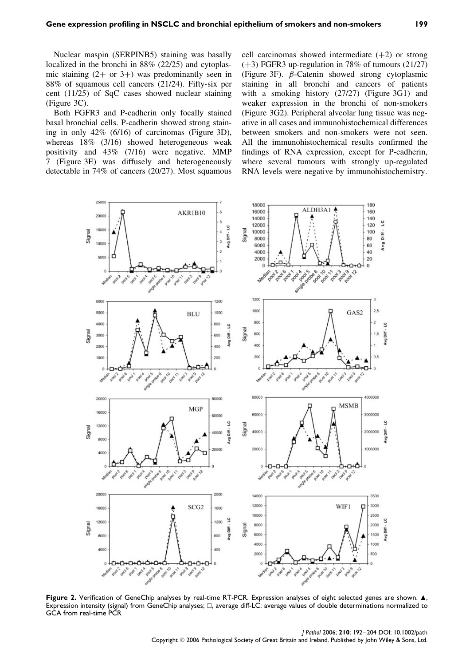Nuclear maspin (SERPINB5) staining was basally localized in the bronchi in 88% (22/25) and cytoplasmic staining  $(2+$  or  $3+)$  was predominantly seen in 88% of squamous cell cancers (21/24). Fifty-six per cent (11/25) of SqC cases showed nuclear staining (Figure 3C).

Both FGFR3 and P-cadherin only focally stained basal bronchial cells. P-cadherin showed strong staining in only 42% (6/16) of carcinomas (Figure 3D), whereas 18% (3/16) showed heterogeneous weak positivity and 43% (7/16) were negative. MMP 7 (Figure 3E) was diffusely and heterogeneously detectable in 74% of cancers (20/27). Most squamous cell carcinomas showed intermediate  $(+2)$  or strong (+3) FGFR3 up-regulation in 78% of tumours (21/27) (Figure 3F). *β*-Catenin showed strong cytoplasmic staining in all bronchi and cancers of patients with a smoking history (27/27) (Figure 3G1) and weaker expression in the bronchi of non-smokers (Figure 3G2). Peripheral alveolar lung tissue was negative in all cases and immunohistochemical differences between smokers and non-smokers were not seen. All the immunohistochemical results confirmed the findings of RNA expression, except for P-cadherin, where several tumours with strongly up-regulated RNA levels were negative by immunohistochemistry.



Figure 2. Verification of GeneChip analyses by real-time RT-PCR. Expression analyses of eight selected genes are shown.  $\blacktriangle$ , Expression intensity (signal) from GeneChip analyses;  $\Box$ , average diff-LC: average values of double determinations normalized to GCA from real-time PCR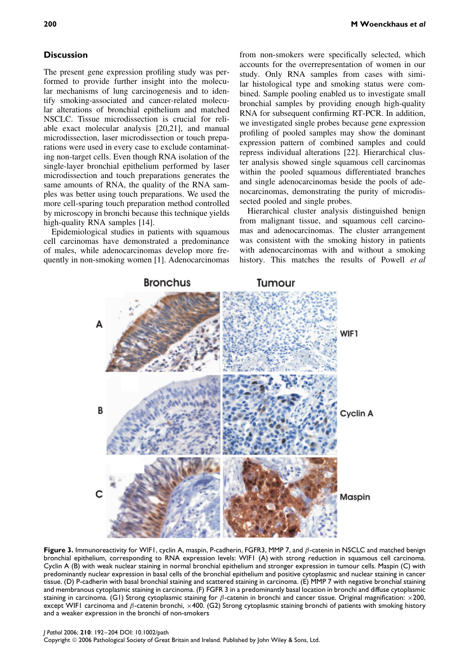### **Discussion**

The present gene expression profiling study was performed to provide further insight into the molecular mechanisms of lung carcinogenesis and to identify smoking-associated and cancer-related molecular alterations of bronchial epithelium and matched NSCLC. Tissue microdissection is crucial for reliable exact molecular analysis [20,21], and manual microdissection, laser microdissection or touch preparations were used in every case to exclude contaminating non-target cells. Even though RNA isolation of the single-layer bronchial epithelium performed by laser microdissection and touch preparations generates the same amounts of RNA, the quality of the RNA samples was better using touch preparations. We used the more cell-sparing touch preparation method controlled by microscopy in bronchi because this technique yields high-quality RNA samples [14].

Epidemiological studies in patients with squamous cell carcinomas have demonstrated a predominance of males, while adenocarcinomas develop more frequently in non-smoking women [1]. Adenocarcinomas

from non-smokers were specifically selected, which accounts for the overrepresentation of women in our study. Only RNA samples from cases with similar histological type and smoking status were combined. Sample pooling enabled us to investigate small bronchial samples by providing enough high-quality RNA for subsequent confirming RT-PCR. In addition, we investigated single probes because gene expression profiling of pooled samples may show the dominant expression pattern of combined samples and could repress individual alterations [22]. Hierarchical cluster analysis showed single squamous cell carcinomas within the pooled squamous differentiated branches and single adenocarcinomas beside the pools of adenocarcinomas, demonstrating the purity of microdissected pooled and single probes.

Hierarchical cluster analysis distinguished benign from malignant tissue, and squamous cell carcinomas and adenocarcinomas. The cluster arrangement was consistent with the smoking history in patients with adenocarcinomas with and without a smoking history. This matches the results of Powell *et al*



**Figure 3.** Immunoreactivity for WIF1, cyclin A, maspin, P-cadherin, FGFR3, MMP 7, and *β*-catenin in NSCLC and matched benign bronchial epithelium, corresponding to RNA expression levels: WIF1 (A) with strong reduction in squamous cell carcinoma. Cyclin A (B) with weak nuclear staining in normal bronchial epithelium and stronger expression in tumour cells. Maspin (C) with predominantly nuclear expression in basal cells of the bronchial epithelium and positive cytoplasmic and nuclear staining in cancer tissue. (D) P-cadherin with basal bronchial staining and scattered staining in carcinoma. (E) MMP 7 with negative bronchial staining and membranous cytoplasmic staining in carcinoma. (F) FGFR 3 in a predominantly basal location in bronchi and diffuse cytoplasmic staining in carcinoma. (G1) Strong cytoplasmic staining for *β*-catenin in bronchi and cancer tissue. Original magnification: ×200, except WIF1 carcinoma and *β*-catenin bronchi, ×400. (G2) Strong cytoplasmic staining bronchi of patients with smoking history and a weaker expression in the bronchi of non-smokers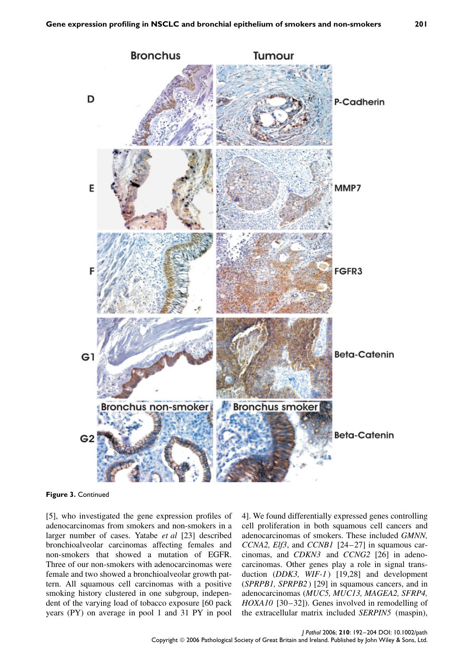

**Figure 3.** Continued

[5], who investigated the gene expression profiles of adenocarcinomas from smokers and non-smokers in a larger number of cases. Yatabe *et al* [23] described bronchioalveolar carcinomas affecting females and non-smokers that showed a mutation of EGFR. Three of our non-smokers with adenocarcinomas were female and two showed a bronchioalveolar growth pattern. All squamous cell carcinomas with a positive smoking history clustered in one subgroup, independent of the varying load of tobacco exposure [60 pack years (PY) on average in pool 1 and 31 PY in pool

4]. We found differentially expressed genes controlling cell proliferation in both squamous cell cancers and adenocarcinomas of smokers. These included *GMNN, CCNA2, Elf3*, and *CCNB1* [24–27] in squamous carcinomas, and *CDKN3* and *CCNG2* [26] in adenocarcinomas. Other genes play a role in signal transduction (*DDK3*, *WIF-1*) [19,28] and development (*SPRPB1, SPRPB2* ) [29] in squamous cancers, and in adenocarcinomas (*MUC5, MUC13, MAGEA2, SFRP4, HOXA10* [30–32]). Genes involved in remodelling of the extracellular matrix included *SERPIN5* (maspin),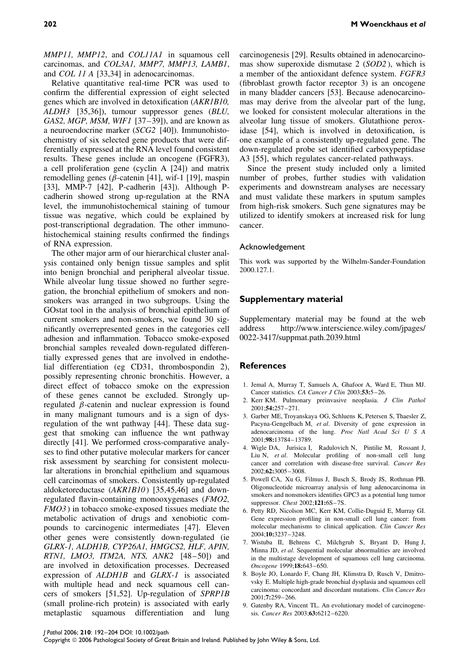Relative quantitative real-time PCR was used to confirm the differential expression of eight selected genes which are involved in detoxification (*AKR1B10, ALDH3* [35,36]), tumour suppressor genes (*BLU, GAS2, MGP, MSM, WIF1* [37–39]), and are known as a neuroendocrine marker (*SCG2* [40]). Immunohistochemistry of six selected gene products that were differentially expressed at the RNA level found consistent results. These genes include an oncogene (FGFR3), a cell proliferation gene (cyclin A [24]) and matrix remodelling genes (*β*-catenin [41], wif-1 [19], maspin [33], MMP-7 [42], P-cadherin [43]). Although Pcadherin showed strong up-regulation at the RNA level, the immunohistochemical staining of tumour tissue was negative, which could be explained by post-transcriptional degradation. The other immunohistochemical staining results confirmed the findings of RNA expression.

The other major arm of our hierarchical cluster analysis contained only benign tissue samples and split into benign bronchial and peripheral alveolar tissue. While alveolar lung tissue showed no further segregation, the bronchial epithelium of smokers and nonsmokers was arranged in two subgroups. Using the GOstat tool in the analysis of bronchial epithelium of current smokers and non-smokers, we found 30 significantly overrepresented genes in the categories cell adhesion and inflammation. Tobacco smoke-exposed bronchial samples revealed down-regulated differentially expressed genes that are involved in endothelial differentiation (eg CD31, thrombospondin 2), possibly representing chronic bronchitis. However, a direct effect of tobacco smoke on the expression of these genes cannot be excluded. Strongly upregulated *β*-catenin and nuclear expression is found in many malignant tumours and is a sign of dysregulation of the wnt pathway [44]. These data suggest that smoking can influence the wnt pathway directly [41]. We performed cross-comparative analyses to find other putative molecular markers for cancer risk assessment by searching for consistent molecular alterations in bronchial epithelium and squamous cell carcinomas of smokers. Consistently up-regulated aldoketoreductase (*AKR1B10* ) [35,45,46] and downregulated flavin-containing monooxygenases (*FMO2, FMO3* ) in tobacco smoke-exposed tissues mediate the metabolic activation of drugs and xenobiotic compounds to carcinogenic intermediates [47]. Eleven other genes were consistently down-regulated (ie *GLRX-1, ALDH1B, CYP26A1, HMGCS2, HLF, APIN, RTN1, LMO3, ITM2A, NTS, ANK2* [48–50]) and are involved in detoxification processes. Decreased expression of *ALDH1B* and *GLRX-1* is associated with multiple head and neck squamous cell cancers of smokers [51,52]. Up-regulation of *SPRP1B* (small proline-rich protein) is associated with early metaplastic squamous differentiation and lung carcinogenesis [29]. Results obtained in adenocarcinomas show superoxide dismutase 2 (*SOD2* ), which is a member of the antioxidant defence system. *FGFR3* (fibroblast growth factor receptor 3) is an oncogene in many bladder cancers [53]. Because adenocarcinomas may derive from the alveolar part of the lung, we looked for consistent molecular alterations in the alveolar lung tissue of smokers. Glutathione peroxidase [54], which is involved in detoxification, is one example of a consistently up-regulated gene. The down-regulated probe set identified carboxypeptidase A3 [55], which regulates cancer-related pathways.

Since the present study included only a limited number of probes, further studies with validation experiments and downstream analyses are necessary and must validate these markers in sputum samples from high-risk smokers. Such gene signatures may be utilized to identify smokers at increased risk for lung cancer.

#### Acknowledgement

This work was supported by the Wilhelm-Sander-Foundation 2000.127.1.

### **Supplementary material**

Supplementary material may be found at the web address http://www.interscience.wiley.com/jpages/ 0022-3417/suppmat.path.2039.html

#### **References**

- 1. Jemal A, Murray T, Samuels A, Ghafoor A, Ward E, Thun MJ. Cancer statistics. *CA Cancer J Clin* 2003;**53:**5–26.
- 2. Kerr KM. Pulmonary preinvasive neoplasia. *J Clin Pathol* 2001;**54:**257–271.
- 3. Garber ME, Troyanskaya OG, Schluens K, Petersen S, Thaesler Z, Pacyna-Gengelbach M, *et al*. Diversity of gene expression in adenocarcinoma of the lung. *Proc Natl Acad Sci U S A* 2001;**98:**13784–13789.
- 4. Wigle DA, Jurisica I, Radulovich N, Pintilie M, Rossant J, Liu N, *et al*. Molecular profiling of non-small cell lung cancer and correlation with disease-free survival. *Cancer Res* 2002;**62:**3005–3008.
- 5. Powell CA, Xu G, Filmus J, Busch S, Brody JS, Rothman PB. Oligonucleotide microarray analysis of lung adenocarcinoma in smokers and nonsmokers identifies GPC3 as a potential lung tumor suppressor. *Chest* 2002;**121:**6S–7S.
- 6. Petty RD, Nicolson MC, Kerr KM, Collie-Duguid E, Murray GI. Gene expression profiling in non-small cell lung cancer: from molecular mechanisms to clinical application. *Clin Cancer Res* 2004;**10:**3237–3248.
- 7. Wistuba II, Behrens C, Milchgrub S, Bryant D, Hung J, Minna JD, *et al*. Sequential molecular abnormalities are involved in the multistage development of squamous cell lung carcinoma. *Oncogene* 1999;**18:**643–650.
- 8. Boyle JO, Lonardo F, Chang JH, Klimstra D, Rusch V, Dmitrovsky E. Multiple high-grade bronchial dysplasia and squamous cell carcinoma: concordant and discordant mutations. *Clin Cancer Res* 2001;**7:**259–266.
- 9. Gatenby RA, Vincent TL. An evolutionary model of carcinogenesis. *Cancer Res* 2003;**63:**6212–6220.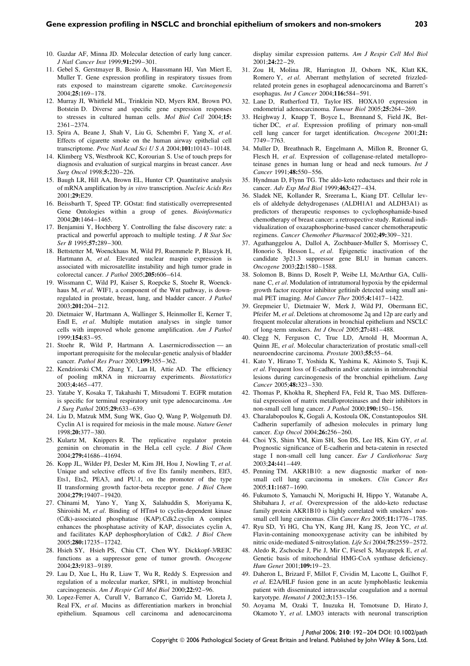- 10. Gazdar AF, Minna JD. Molecular detection of early lung cancer. *J Natl Cancer Inst* 1999;**91:**299–301.
- 11. Gebel S, Gerstmayer B, Bosio A, Haussmann HJ, Van Miert E, Muller T. Gene expression profiling in respiratory tissues from rats exposed to mainstream cigarette smoke. *Carcinogenesis* 2004;**25:**169–178.
- 12. Murray JI, Whitfield ML, Trinklein ND, Myers RM, Brown PO, Botstein D. Diverse and specific gene expression responses to stresses in cultured human cells. *Mol Biol Cell* 2004;**15:** 2361–2374.
- 13. Spira A, Beane J, Shah V, Liu G, Schembri F, Yang X, *et al*. Effects of cigarette smoke on the human airway epithelial cell transcriptome. *Proc Natl Acad Sci U S A* 2004;**101:**10143–10148.
- 14. Klimberg VS, Westbrook KC, Korourian S. Use of touch preps for diagnosis and evaluation of surgical margins in breast cancer. *Ann Surg Oncol* 1998;**5:**220–226.
- 15. Baugh LR, Hill AA, Brown EL, Hunter CP. Quantitative analysis of mRNA amplification by *in vitro* transcription. *Nucleic Acids Res* 2001;**29:**E29.
- 16. Beissbarth T, Speed TP. GOstat: find statistically overrepresented Gene Ontologies within a group of genes. *Bioinformatics* 2004;**20:**1464–1465.
- 17. Benjamini Y, Hochberg Y. Controlling the false discovery rate: a practical and powerful approach to multiple testing. *J R Stat Soc Ser B* 1995;**57:**289–300.
- 18. Bettstetter M, Woenckhaus M, Wild PJ, Ruemmele P, Blaszyk H, Hartmann A, *et al*. Elevated nuclear maspin expression is associated with microsatellite instability and high tumor grade in colorectal cancer. *J Pathol* 2005;**205:**606–614.
- 19. Wissmann C, Wild PJ, Kaiser S, Roepcke S, Stoehr R, Woenckhaus M, *et al*. WIF1, a component of the Wnt pathway, is downregulated in prostate, breast, lung, and bladder cancer. *J Pathol* 2003;**201:**204–212.
- 20. Dietmaier W, Hartmann A, Wallinger S, Heinmoller E, Kerner T, Endl E, *et al*. Multiple mutation analyses in single tumor cells with improved whole genome amplification. *Am J Pathol* 1999;**154:**83–95.
- 21. Stoehr R, Wild P, Hartmann A. Lasermicrodissection an important prerequisite for the molecular-genetic analysis of bladder cancer. *Pathol Res Pract* 2003;**199:**355–362.
- 22. Kendziorski CM, Zhang Y, Lan H, Attie AD. The efficiency of pooling mRNA in microarray experiments. *Biostatistics* 2003;**4:**465–477.
- 23. Yatabe Y, Kosaka T, Takahashi T, Mitsudomi T. EGFR mutation is specific for terminal respiratory unit type adenocarcinoma. *Am J Surg Pathol* 2005;**29:**633–639.
- 24. Liu D, Matzuk MM, Sung WK, Guo Q, Wang P, Wolgemuth DJ. Cyclin A1 is required for meiosis in the male mouse. *Nature Genet* 1998;**20:**377–380.
- 25. Kulartz M, Knippers R. The replicative regulator protein geminin on chromatin in the HeLa cell cycle. *J Biol Chem* 2004;**279:**41686–41694.
- 26. Kopp JL, Wilder PJ, Desler M, Kim JH, Hou J, Nowling T, *et al*. Unique and selective effects of five Ets family members, Elf3, Ets1, Ets2, PEA3, and PU.1, on the promoter of the type II transforming growth factor-beta receptor gene. *J Biol Chem* 2004;**279:**19407–19420.
- 27. Chinami M, Yano Y, Yang X, Salahuddin S, Moriyama K, Shiroishi M, *et al*. Binding of HTm4 to cyclin-dependent kinase (Cdk)-associated phosphatase (KAP).Cdk2.cyclin A complex enhances the phosphatase activity of KAP, dissociates cyclin A, and facilitates KAP dephosphorylation of Cdk2. *J Biol Chem* 2005;**280:**17235–17242.
- 28. Hsieh SY, Hsieh PS, Chiu CT, Chen WY. Dickkopf-3/REIC functions as a suppressor gene of tumor growth. *Oncogene* 2004;**23:**9183–9189.
- 29. Lau D, Xue L, Hu R, Liaw T, Wu R, Reddy S. Expression and regulation of a molecular marker, SPR1, in multistep bronchial carcinogenesis. *Am J Respir Cell Mol Biol* 2000;**22:**92–96.
- 30. Lopez-Ferrer A, Curull V, Barranco C, Garrido M, Lloreta J, Real FX, *et al*. Mucins as differentiation markers in bronchial epithelium. Squamous cell carcinoma and adenocarcinoma

display similar expression patterns. *Am J Respir Cell Mol Biol* 2001;**24:**22–29.

- 31. Zou H, Molina JR, Harrington JJ, Osborn NK, Klatt KK, Romero Y, *et al*. Aberrant methylation of secreted frizzledrelated protein genes in esophageal adenocarcinoma and Barrett's esophagus. *Int J Cancer* 2004;**116:**584–591.
- 32. Lane D, Rutherford TJ, Taylor HS. HOXA10 expression in endometrial adenocarcinoma. *Tumour Biol* 2005;**25:**264–269.
- 33. Heighway J, Knapp T, Boyce L, Brennand S, Field JK, Betticher DC, *et al*. Expression profiling of primary non-small cell lung cancer for target identification. *Oncogene* 2001;**21:** 7749–7763.
- 34. Muller D, Breathnach R, Engelmann A, Millon R, Bronner G, Flesch H, *et al*. Expression of collagenase-related metalloproteinase genes in human lung or head and neck tumours. *Int J Cancer* 1991;**48:**550–556.
- 35. Hyndman D, Flynn TG. The aldo-keto reductases and their role in cancer. *Adv Exp Med Biol* 1999;**463:**427–434.
- 36. Sladek NE, Kollander R, Sreerama L, Kiang DT. Cellular levels of aldehyde dehydrogenases (ALDH1A1 and ALDH3A1) as predictors of therapeutic responses to cyclophosphamide-based chemotherapy of breast cancer: a retrospective study. Rational individualization of oxazaphosphorine-based cancer chemotherapeutic regimens. *Cancer Chemother Pharmacol* 2002;**49:**309–321.
- 37. Agathanggelou A, Dallol A, Zochbauer-Muller S, Morrissey C, Honorio S, Hesson L, *et al*. Epigenetic inactivation of the candidate 3p21.3 suppressor gene BLU in human cancers. *Oncogene* 2003;**22:**1580–1588.
- 38. Solomon B, Binns D, Roselt P, Weibe LI, McArthur GA, Cullinane C, *et al*. Modulation of intratumoral hypoxia by the epidermal growth factor receptor inhibitor gefitinib detected using small animal PET imaging. *Mol Cancer Ther* 2005;**4:**1417–1422.
- 39. Grepmeier U, Dietmaier W, Merk J, Wild PJ, Obermann EC, Pfeifer M, *et al*. Deletions at chromosome 2q and 12p are early and frequent molecular alterations in bronchial epithelium and NSCLC of long-term smokers. *Int J Oncol* 2005;**27:**481–488.
- 40. Clegg N, Ferguson C, True LD, Arnold H, Moorman A, Quinn JE, *et al*. Molecular characterization of prostatic small-cell neuroendocrine carcinoma. *Prostate* 2003;**55:**55–64.
- 41. Kato Y, Hirano T, Yoshida K, Yashima K, Akimoto S, Tsuji K, *et al*. Frequent loss of E-cadherin and/or catenins in intrabronchial lesions during carcinogenesis of the bronchial epithelium. *Lung Cancer* 2005;**48:**323–330.
- 42. Thomas P, Khokha R, Shepherd FA, Feld R, Tsao MS. Differential expression of matrix metalloproteinases and their inhibitors in non-small cell lung cancer. *J Pathol* 2000;**190:**150–156.
- 43. Charalabopoulos K, Gogali A, Kostoula OK, Constantopoulos SH. Cadherin superfamily of adhesion molecules in primary lung cancer. *Exp Oncol* 2004;**26:**256–260.
- 44. Choi YS, Shim YM, Kim SH, Son DS, Lee HS, Kim GY, *et al*. Prognostic significance of E-cadherin and beta-catenin in resected stage I non-small cell lung cancer. *Eur J Cardiothorac Surg* 2003;**24:**441–449.
- 45. Penning TM. AKR1B10: a new diagnostic marker of nonsmall cell lung carcinoma in smokers. *Clin Cancer Res* 2005;**11:**1687–1690.
- 46. Fukumoto S, Yamauchi N, Moriguchi H, Hippo Y, Watanabe A, Shibahara J, *et al*. Overexpression of the aldo-keto reductase family protein AKR1B10 is highly correlated with smokers' nonsmall cell lung carcinomas. *Clin Cancer Res* 2005;**11:**1776–1785.
- 47. Ryu SD, Yi HG, Cha YN, Kang JH, Kang JS, Jeon YC, *et al*. Flavin-containing monooxygenase activity can be inhibited by nitric oxide-mediated S-nitrosylation. *Life Sci* 2004;**75:**2559–2572.
- 48. Aledo R, Zschocke J, Pie J, Mir C, Fiesel S, Mayatepek E, *et al*. Genetic basis of mitochondrial HMG-CoA synthase deficiency. *Hum Genet* 2001;**109:**19–23.
- 49. Daheron L, Brizard F, Millot F, Cividin M, Lacotte L, Guilhot F, *et al*. E2A/HLF fusion gene in an acute lymphoblastic leukemia patient with disseminated intravascular coagulation and a normal karyotype. *Hematol J* 2002;**3:**153–156.
- 50. Aoyama M, Ozaki T, Inuzuka H, Tomotsune D, Hirato J, Okamoto Y, *et al*. LMO3 interacts with neuronal transcription

# *J Pathol* 2006; **210**: 192–204 DOI: 10.1002/path